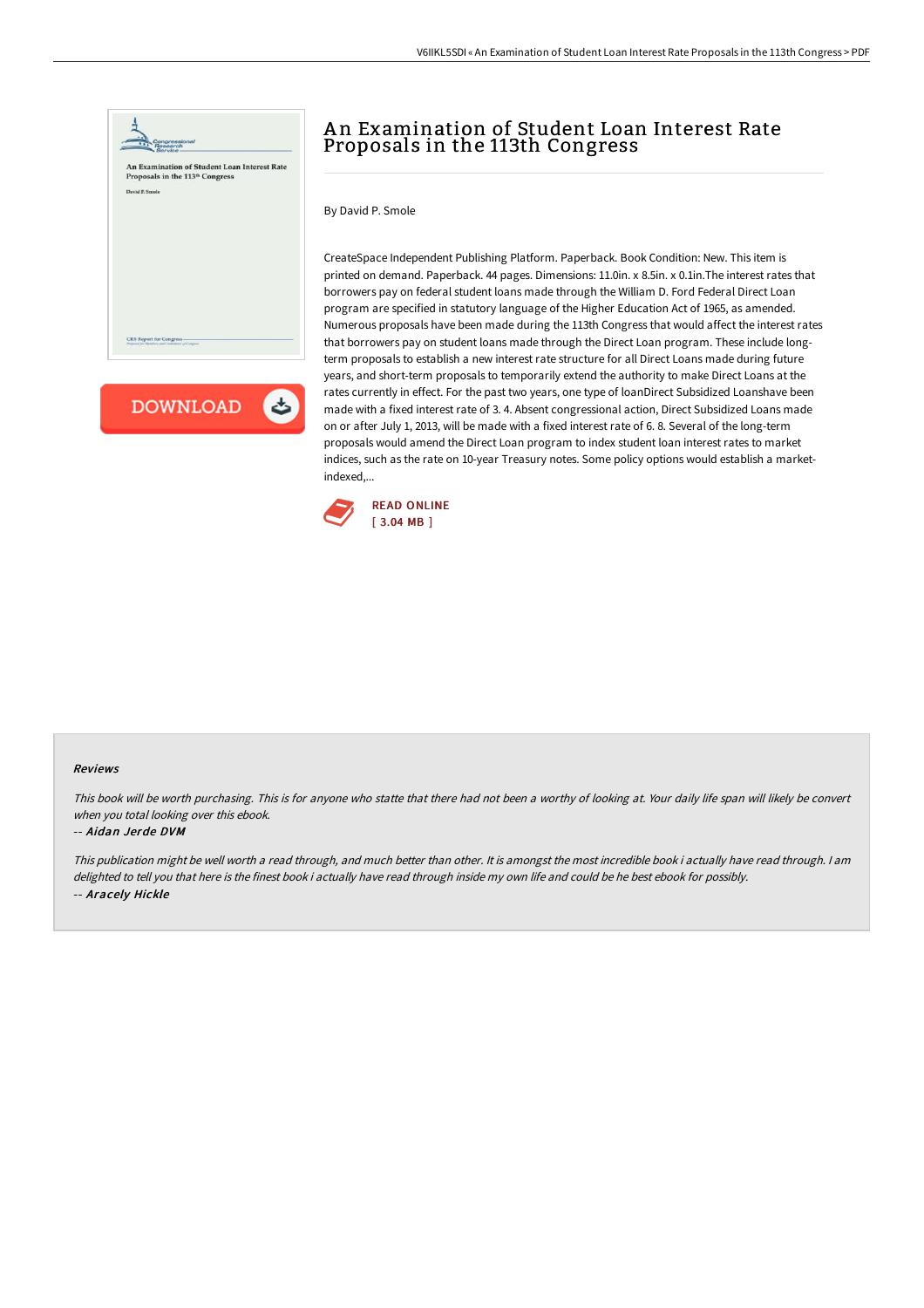

**DOWNLOAD** 

# An Examination of Student Loan Interest Rate Proposals in the 113th Congress

By David P. Smole

CreateSpace Independent Publishing Platform. Paperback. Book Condition: New. This item is printed on demand. Paperback. 44 pages. Dimensions: 11.0in. x 8.5in. x 0.1in.The interest rates that borrowers pay on federal student loans made through the William D. Ford Federal Direct Loan program are specified in statutory language of the Higher Education Act of 1965, as amended. Numerous proposals have been made during the 113th Congress that would affect the interest rates that borrowers pay on student loans made through the Direct Loan program. These include longterm proposals to establish a new interest rate structure for all Direct Loans made during future years, and short-term proposals to temporarily extend the authority to make Direct Loans at the rates currently in effect. For the past two years, one type of loanDirect Subsidized Loanshave been made with a fixed interest rate of 3. 4. Absent congressional action, Direct Subsidized Loans made on or after July 1, 2013, will be made with a fixed interest rate of 6. 8. Several of the long-term proposals would amend the Direct Loan program to index student loan interest rates to market indices, such as the rate on 10-year Treasury notes. Some policy options would establish a marketindexed,...



#### Reviews

This book will be worth purchasing. This is for anyone who statte that there had not been <sup>a</sup> worthy of looking at. Your daily life span will likely be convert when you total looking over this ebook.

### -- Aidan Jerde DVM

This publication might be well worth <sup>a</sup> read through, and much better than other. It is amongst the most incredible book i actually have read through. I am delighted to tell you that here is the finest book i actually have read through inside my own life and could be he best ebook for possibly. -- Aracely Hickle